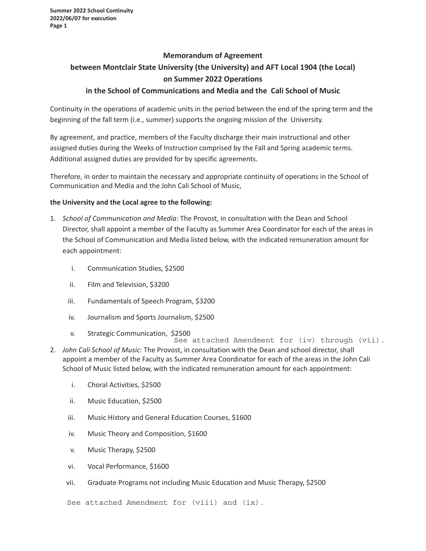**Summer 2022 School Continuity 2022/06/07 for execution Page 1**

# **Memorandum of Agreement between Montclair State University (the University) and AFT Local 1904 (the Local) on Summer 2022 Operations**

### **in the School of Communications and Media and the Cali School of Music**

Continuity in the operations of academic units in the period between the end of the spring term and the beginning of the fall term (i.e., summer) supports the ongoing mission of the University.

By agreement, and practice, members of the Faculty discharge their main instructional and other assigned duties during the Weeks of Instruction comprised by the Fall and Spring academic terms. Additional assigned duties are provided for by specific agreements.

Therefore, in order to maintain the necessary and appropriate continuity of operations in the School of Communication and Media and the John Cali School of Music,

### **the University and the Local agree to the following:**

- 1. *School of Communication and Media:* The Provost, in consultation with the Dean and School Director, shall appoint a member of the Faculty as Summer Area Coordinator for each of the areas in the School of Communication and Media listed below, with the indicated remuneration amount for each appointment:
	- i. Communication Studies, \$2500
	- ii. Film and Television, \$3200
	- iii. Fundamentals of Speech Program, \$3200
	- iv. Journalism and Sports Journalism, \$2500
	- v. Strategic Communication, \$2500
- 2. *John Cali School of Music:* The Provost, in consultation with the Dean and school director, shall appoint a member of the Faculty as Summer Area Coordinator for each of the areas in the John Cali School of Music listed below, with the indicated remuneration amount for each appointment: See attached Amendment for (iv) through (vii).
	- i. Choral Activities, \$2500
	- ii. Music Education, \$2500
	- iii. Music History and General Education Courses, \$1600
	- iv. Music Theory and Composition, \$1600
	- v. Music Therapy, \$2500
	- vi. Vocal Performance, \$1600
	- vii. Graduate Programs not including Music Education and Music Therapy, \$2500

See attached Amendment for (viii) and (ix).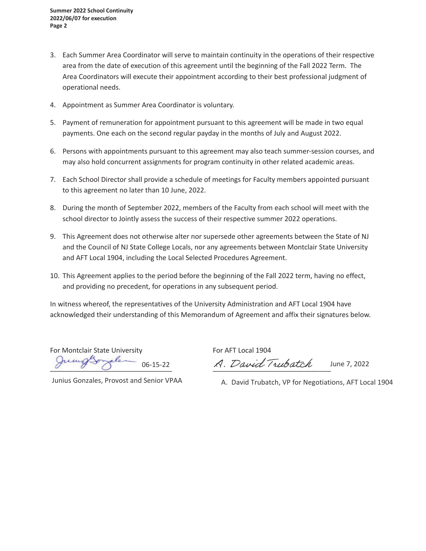- 3. Each Summer Area Coordinator will serve to maintain continuity in the operations of their respective area from the date of execution of this agreement until the beginning of the Fall 2022 Term. The Area Coordinators will execute their appointment according to their best professional judgment of operational needs.
- 4. Appointment as Summer Area Coordinator is voluntary.
- 5. Payment of remuneration for appointment pursuant to this agreement will be made in two equal payments. One each on the second regular payday in the months of July and August 2022.
- 6. Persons with appointments pursuant to this agreement may also teach summer-session courses, and may also hold concurrent assignments for program continuity in other related academic areas.
- 7. Each School Director shall provide a schedule of meetings for Faculty members appointed pursuant to this agreement no later than 10 June, 2022.
- 8. During the month of September 2022, members of the Faculty from each school will meet with the school director to Jointly assess the success of their respective summer 2022 operations.
- 9. This Agreement does not otherwise alter nor supersede other agreements between the State of NJ and the Council of NJ State College Locals, nor any agreements between Montclair State University and AFT Local 1904, including the Local Selected Procedures Agreement.
- 10. This Agreement applies to the period before the beginning of the Fall 2022 term, having no effect, and providing no precedent, for operations in any subsequent period.

In witness whereof, the representatives of the University Administration and AFT Local 1904 have acknowledged their understanding of this Memorandum of Agreement and affix their signatures below.

For Montclair State University<br>Guess Grand Contract Contract of The County For Montclair State University<br>Jumps of the Second Contract of the Second Trubatch

June 7, 2022

Junius Gonzales, Provost and Senior VPAA

A. David Trubatch, VP for Negotiations, AFT Local 1904